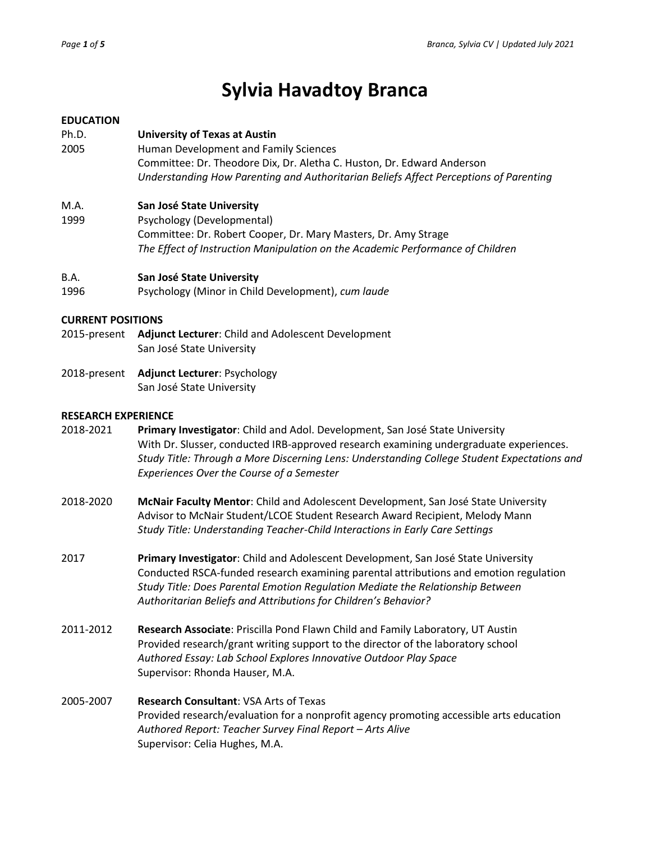# **Sylvia Havadtoy Branca**

## **EDUCATION**

Ph.D. **University of Texas at Austin** 2005 Human Development and Family Sciences Committee: Dr. Theodore Dix, Dr. Aletha C. Huston, Dr. Edward Anderson *Understanding How Parenting and Authoritarian Beliefs Affect Perceptions of Parenting* 

# M.A. **San José State University**

1999 Psychology (Developmental) Committee: Dr. Robert Cooper, Dr. Mary Masters, Dr. Amy Strage *The Effect of Instruction Manipulation on the Academic Performance of Children*

## B.A. **San José State University**

1996 Psychology (Minor in Child Development), *cum laude*

## **CURRENT POSITIONS**

- 2015-present **Adjunct Lecturer**: Child and Adolescent Development San José State University
- 2018-present **Adjunct Lecturer**: Psychology San José State University

## **RESEARCH EXPERIENCE**

- 2018-2021 **Primary Investigator**: Child and Adol. Development, San José State University With Dr. Slusser, conducted IRB-approved research examining undergraduate experiences. *Study Title: Through a More Discerning Lens: Understanding College Student Expectations and Experiences Over the Course of a Semester*
- 2018-2020 **McNair Faculty Mentor**: Child and Adolescent Development, San José State University Advisor to McNair Student/LCOE Student Research Award Recipient, Melody Mann *Study Title: Understanding Teacher-Child Interactions in Early Care Settings*
- 2017 **Primary Investigator**: Child and Adolescent Development, San José State University Conducted RSCA-funded research examining parental attributions and emotion regulation *Study Title: Does Parental Emotion Regulation Mediate the Relationship Between Authoritarian Beliefs and Attributions for Children's Behavior?*
- 2011-2012 **Research Associate**: Priscilla Pond Flawn Child and Family Laboratory, UT Austin Provided research/grant writing support to the director of the laboratory school *Authored Essay: Lab School Explores Innovative Outdoor Play Space* Supervisor: Rhonda Hauser, M.A.

# 2005-2007 **Research Consultant**: VSA Arts of Texas Provided research/evaluation for a nonprofit agency promoting accessible arts education *Authored Report: Teacher Survey Final Report – Arts Alive*  Supervisor: Celia Hughes, M.A.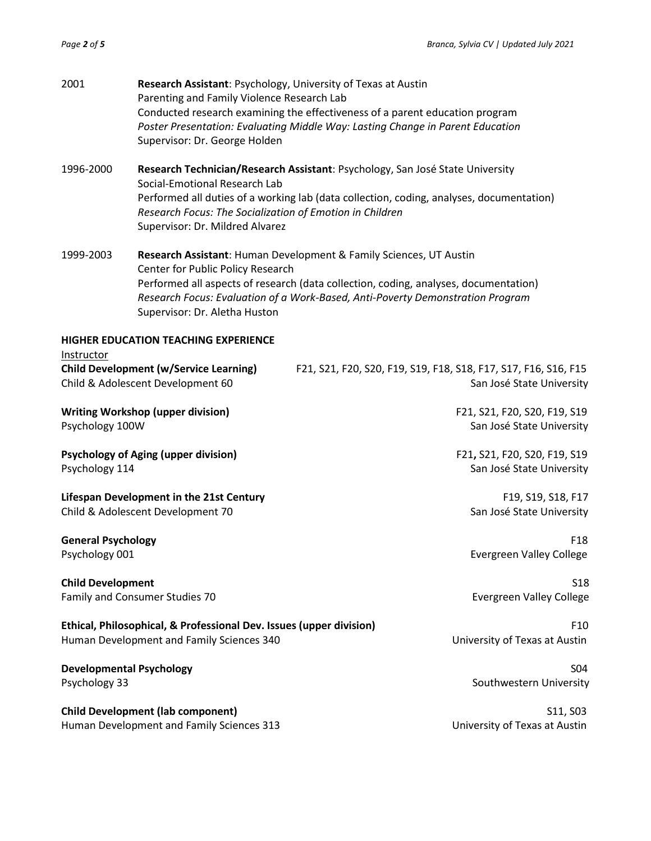| Research Technician/Research Assistant: Psychology, San José State University<br>Social-Emotional Research Lab<br>Performed all duties of a working lab (data collection, coding, analyses, documentation)<br>Research Focus: The Socialization of Emotion in Children<br>Supervisor: Dr. Mildred Alvarez<br>Research Assistant: Human Development & Family Sciences, UT Austin<br>Center for Public Policy Research<br>Performed all aspects of research (data collection, coding, analyses, documentation)<br>Research Focus: Evaluation of a Work-Based, Anti-Poverty Demonstration Program<br>Supervisor: Dr. Aletha Huston<br>Instructor<br>F21, S21, F20, S20, F19, S19, F18, S18, F17, S17, F16, S16, F15<br>San José State University<br><b>Writing Workshop (upper division)</b><br>F21, S21, F20, S20, F19, S19<br>Psychology 100W<br>San José State University<br><b>Psychology of Aging (upper division)</b><br>F21, S21, F20, S20, F19, S19<br>Psychology 114<br>San José State University<br>F19, S19, S18, F17<br>San José State University<br>F <sub>18</sub><br><b>Evergreen Valley College</b><br><b>S18</b><br>Evergreen Valley College<br>Ethical, Philosophical, & Professional Dev. Issues (upper division)<br>F <sub>10</sub><br>Human Development and Family Sciences 340<br>University of Texas at Austin<br><b>Developmental Psychology</b><br>S04<br>Southwestern University<br><b>Child Development (lab component)</b><br>S11, S03<br>Human Development and Family Sciences 313<br>University of Texas at Austin | 2001                                                                               | Research Assistant: Psychology, University of Texas at Austin<br>Parenting and Family Violence Research Lab<br>Conducted research examining the effectiveness of a parent education program<br>Poster Presentation: Evaluating Middle Way: Lasting Change in Parent Education<br>Supervisor: Dr. George Holden |  |  |  |
|-----------------------------------------------------------------------------------------------------------------------------------------------------------------------------------------------------------------------------------------------------------------------------------------------------------------------------------------------------------------------------------------------------------------------------------------------------------------------------------------------------------------------------------------------------------------------------------------------------------------------------------------------------------------------------------------------------------------------------------------------------------------------------------------------------------------------------------------------------------------------------------------------------------------------------------------------------------------------------------------------------------------------------------------------------------------------------------------------------------------------------------------------------------------------------------------------------------------------------------------------------------------------------------------------------------------------------------------------------------------------------------------------------------------------------------------------------------------------------------------------------------------------------------------------|------------------------------------------------------------------------------------|----------------------------------------------------------------------------------------------------------------------------------------------------------------------------------------------------------------------------------------------------------------------------------------------------------------|--|--|--|
|                                                                                                                                                                                                                                                                                                                                                                                                                                                                                                                                                                                                                                                                                                                                                                                                                                                                                                                                                                                                                                                                                                                                                                                                                                                                                                                                                                                                                                                                                                                                               | 1996-2000                                                                          |                                                                                                                                                                                                                                                                                                                |  |  |  |
|                                                                                                                                                                                                                                                                                                                                                                                                                                                                                                                                                                                                                                                                                                                                                                                                                                                                                                                                                                                                                                                                                                                                                                                                                                                                                                                                                                                                                                                                                                                                               | 1999-2003                                                                          |                                                                                                                                                                                                                                                                                                                |  |  |  |
|                                                                                                                                                                                                                                                                                                                                                                                                                                                                                                                                                                                                                                                                                                                                                                                                                                                                                                                                                                                                                                                                                                                                                                                                                                                                                                                                                                                                                                                                                                                                               | HIGHER EDUCATION TEACHING EXPERIENCE                                               |                                                                                                                                                                                                                                                                                                                |  |  |  |
|                                                                                                                                                                                                                                                                                                                                                                                                                                                                                                                                                                                                                                                                                                                                                                                                                                                                                                                                                                                                                                                                                                                                                                                                                                                                                                                                                                                                                                                                                                                                               | <b>Child Development (w/Service Learning)</b><br>Child & Adolescent Development 60 |                                                                                                                                                                                                                                                                                                                |  |  |  |
|                                                                                                                                                                                                                                                                                                                                                                                                                                                                                                                                                                                                                                                                                                                                                                                                                                                                                                                                                                                                                                                                                                                                                                                                                                                                                                                                                                                                                                                                                                                                               |                                                                                    |                                                                                                                                                                                                                                                                                                                |  |  |  |
|                                                                                                                                                                                                                                                                                                                                                                                                                                                                                                                                                                                                                                                                                                                                                                                                                                                                                                                                                                                                                                                                                                                                                                                                                                                                                                                                                                                                                                                                                                                                               |                                                                                    |                                                                                                                                                                                                                                                                                                                |  |  |  |
|                                                                                                                                                                                                                                                                                                                                                                                                                                                                                                                                                                                                                                                                                                                                                                                                                                                                                                                                                                                                                                                                                                                                                                                                                                                                                                                                                                                                                                                                                                                                               | Lifespan Development in the 21st Century<br>Child & Adolescent Development 70      |                                                                                                                                                                                                                                                                                                                |  |  |  |
|                                                                                                                                                                                                                                                                                                                                                                                                                                                                                                                                                                                                                                                                                                                                                                                                                                                                                                                                                                                                                                                                                                                                                                                                                                                                                                                                                                                                                                                                                                                                               | <b>General Psychology</b><br>Psychology 001                                        |                                                                                                                                                                                                                                                                                                                |  |  |  |
|                                                                                                                                                                                                                                                                                                                                                                                                                                                                                                                                                                                                                                                                                                                                                                                                                                                                                                                                                                                                                                                                                                                                                                                                                                                                                                                                                                                                                                                                                                                                               | <b>Child Development</b><br>Family and Consumer Studies 70                         |                                                                                                                                                                                                                                                                                                                |  |  |  |
|                                                                                                                                                                                                                                                                                                                                                                                                                                                                                                                                                                                                                                                                                                                                                                                                                                                                                                                                                                                                                                                                                                                                                                                                                                                                                                                                                                                                                                                                                                                                               |                                                                                    |                                                                                                                                                                                                                                                                                                                |  |  |  |
|                                                                                                                                                                                                                                                                                                                                                                                                                                                                                                                                                                                                                                                                                                                                                                                                                                                                                                                                                                                                                                                                                                                                                                                                                                                                                                                                                                                                                                                                                                                                               | Psychology 33                                                                      |                                                                                                                                                                                                                                                                                                                |  |  |  |
|                                                                                                                                                                                                                                                                                                                                                                                                                                                                                                                                                                                                                                                                                                                                                                                                                                                                                                                                                                                                                                                                                                                                                                                                                                                                                                                                                                                                                                                                                                                                               |                                                                                    |                                                                                                                                                                                                                                                                                                                |  |  |  |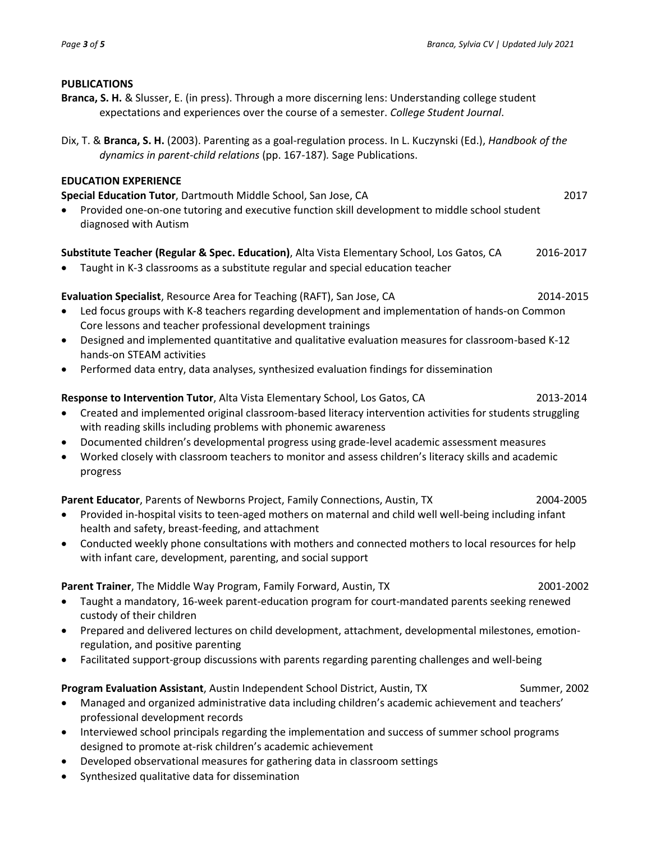## **PUBLICATIONS**

- **Branca, S. H.** & Slusser, E. (in press). Through a more discerning lens: Understanding college student expectations and experiences over the course of a semester. *College Student Journal*.
- Dix, T. & **Branca, S. H.** (2003). Parenting as a goal-regulation process. In L. Kuczynski (Ed.), *Handbook of the dynamics in parent-child relations* (pp. 167-187)*.* Sage Publications.

## **EDUCATION EXPERIENCE**

**Special Education Tutor**, Dartmouth Middle School, San Jose, CA 2017

• Provided one-on-one tutoring and executive function skill development to middle school student diagnosed with Autism

# **Substitute Teacher (Regular & Spec. Education)**, Alta Vista Elementary School, Los Gatos, CA 2016-2017

• Taught in K-3 classrooms as a substitute regular and special education teacher

# **Evaluation Specialist**, Resource Area for Teaching (RAFT), San Jose, CA 2014-2015

- Led focus groups with K-8 teachers regarding development and implementation of hands-on Common Core lessons and teacher professional development trainings
- Designed and implemented quantitative and qualitative evaluation measures for classroom-based K-12 hands-on STEAM activities
- Performed data entry, data analyses, synthesized evaluation findings for dissemination

# **Response to Intervention Tutor**, Alta Vista Elementary School, Los Gatos, CA 2013-2014

- Created and implemented original classroom-based literacy intervention activities for students struggling with reading skills including problems with phonemic awareness
- Documented children's developmental progress using grade-level academic assessment measures
- Worked closely with classroom teachers to monitor and assess children's literacy skills and academic progress

# **Parent Educator**, Parents of Newborns Project, Family Connections, Austin, TX 2004-2005

- Provided in-hospital visits to teen-aged mothers on maternal and child well well-being including infant health and safety, breast-feeding, and attachment
- Conducted weekly phone consultations with mothers and connected mothers to local resources for help with infant care, development, parenting, and social support

**Parent Trainer**, The Middle Way Program, Family Forward, Austin, TX 2001-2002 2001-2002

- Taught a mandatory, 16-week parent-education program for court-mandated parents seeking renewed custody of their children
- Prepared and delivered lectures on child development, attachment, developmental milestones, emotionregulation, and positive parenting
- Facilitated support-group discussions with parents regarding parenting challenges and well-being

# **Program Evaluation Assistant**, Austin Independent School District, Austin, TX Summer, 2002

- Managed and organized administrative data including children's academic achievement and teachers' professional development records
- Interviewed school principals regarding the implementation and success of summer school programs designed to promote at-risk children's academic achievement
- Developed observational measures for gathering data in classroom settings
- Synthesized qualitative data for dissemination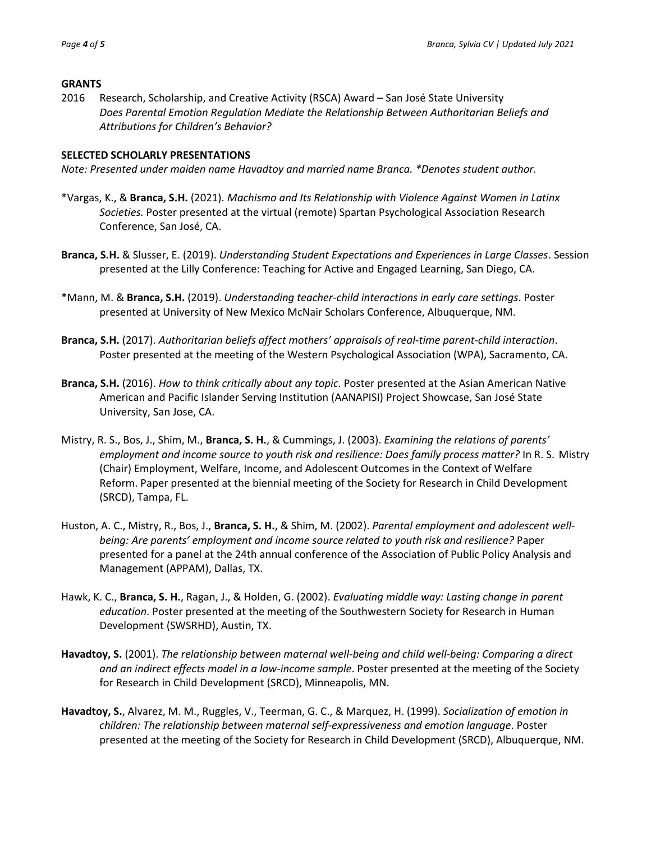## **GRANTS**

2016 Research, Scholarship, and Creative Activity (RSCA) Award – San José State University *Does Parental Emotion Regulation Mediate the Relationship Between Authoritarian Beliefs and Attributions for Children's Behavior?*

## **SELECTED SCHOLARLY PRESENTATIONS**

*Note: Presented under maiden name Havadtoy and married name Branca. \*Denotes student author.* 

- \*Vargas, K., & **Branca, S.H.** (2021). *Machismo and Its Relationship with Violence Against Women in Latinx Societies.* Poster presented at the virtual (remote) Spartan Psychological Association Research Conference, San José, CA.
- **Branca, S.H.** & Slusser, E. (2019). *Understanding Student Expectations and Experiences in Large Classes*. Session presented at the Lilly Conference: Teaching for Active and Engaged Learning, San Diego, CA.
- \*Mann, M. & **Branca, S.H.** (2019). *Understanding teacher-child interactions in early care settings*. Poster presented at University of New Mexico McNair Scholars Conference, Albuquerque, NM.
- **Branca, S.H.** (2017). *Authoritarian beliefs affect mothers' appraisals of real-time parent-child interaction*. Poster presented at the meeting of the Western Psychological Association (WPA), Sacramento, CA.
- **Branca, S.H.** (2016). *How to think critically about any topic*. Poster presented at the Asian American Native American and Pacific Islander Serving Institution (AANAPISI) Project Showcase, San José State University, San Jose, CA.
- Mistry, R. S., Bos, J., Shim, M., **Branca, S. H.**, & Cummings, J. (2003). *Examining the relations of parents' employment and income source to youth risk and resilience: Does family process matter?* In R. S. Mistry (Chair) Employment, Welfare, Income, and Adolescent Outcomes in the Context of Welfare Reform. Paper presented at the biennial meeting of the Society for Research in Child Development (SRCD), Tampa, FL.
- Huston, A. C., Mistry, R., Bos, J., **Branca, S. H.**, & Shim, M. (2002). *Parental employment and adolescent wellbeing: Are parents' employment and income source related to youth risk and resilience?* Paper presented for a panel at the 24th annual conference of the Association of Public Policy Analysis and Management (APPAM), Dallas, TX.
- Hawk, K. C., **Branca, S. H.**, Ragan, J., & Holden, G. (2002). *Evaluating middle way: Lasting change in parent education*. Poster presented at the meeting of the Southwestern Society for Research in Human Development (SWSRHD), Austin, TX.
- **Havadtoy, S.** (2001). *The relationship between maternal well-being and child well-being: Comparing a direct and an indirect effects model in a low-income sample*. Poster presented at the meeting of the Society for Research in Child Development (SRCD), Minneapolis, MN.
- **Havadtoy, S.**, Alvarez, M. M., Ruggles, V., Teerman, G. C., & Marquez, H. (1999). *Socialization of emotion in children: The relationship between maternal self-expressiveness and emotion language*. Poster presented at the meeting of the Society for Research in Child Development (SRCD), Albuquerque, NM.